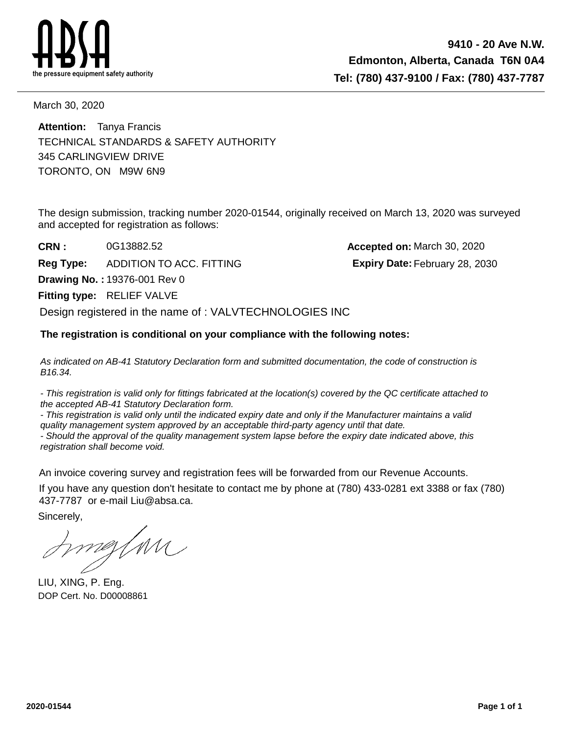

March 30, 2020

TORONTO, ON M9W 6N9 345 CARLINGVIEW DRIVE **Attention:** Tanya Francis TECHNICAL STANDARDS & SAFETY AUTHORITY

The design submission, tracking number 2020-01544, originally received on March 13, 2020 was surveyed and accepted for registration as follows:

**Fitting type: RELIEF VALVE CRN : Drawing No. :** 19376-001 Rev 0 0G13882.52 **Accepted on:** March 30, 2020 **Reg Type:** ADDITION TO ACC. FITTING **Fact Contains February 28, 2030 Expiry Date:** February 28, 2030 Design registered in the name of : VALVTECHNOLOGIES INC

## **The registration is conditional on your compliance with the following notes:**

As indicated on AB-41 Statutory Declaration form and submitted documentation, the code of construction is B16.34.

- This registration is valid only for fittings fabricated at the location(s) covered by the QC certificate attached to the accepted AB-41 Statutory Declaration form.

- This registration is valid only until the indicated expiry date and only if the Manufacturer maintains a valid quality management system approved by an acceptable third-party agency until that date.

- Should the approval of the quality management system lapse before the expiry date indicated above, this registration shall become void.

An invoice covering survey and registration fees will be forwarded from our Revenue Accounts.

If you have any question don't hesitate to contact me by phone at (780) 433-0281 ext 3388 or fax (780) 437-7787 or e-mail Liu@absa.ca.

Sincerely,

meztnu

LIU, XING, P. Eng. DOP Cert. No. D00008861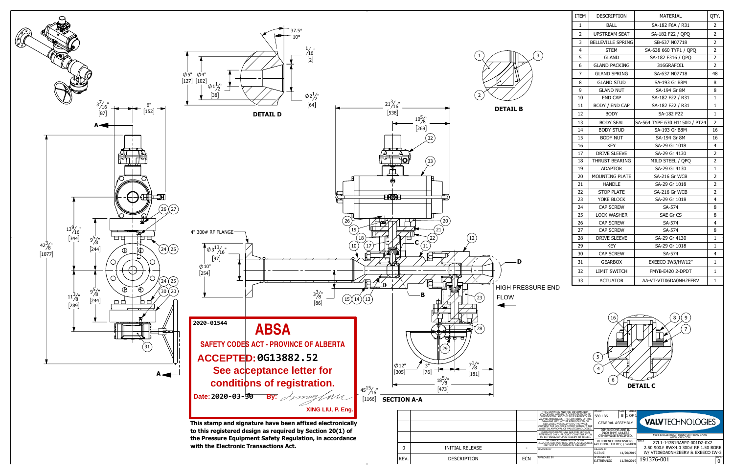



| ITEM           | DESCRIPTION              | <b>MATERIAL</b>               | QTY.           |
|----------------|--------------------------|-------------------------------|----------------|
| $\mathbf{1}$   | <b>BALL</b>              | SA-182 F6A / R31              | 2              |
| $\overline{2}$ | <b>UPSTREAM SEAT</b>     | SA-182 F22 / OPO              | $\overline{2}$ |
| 3              | <b>BELLEVILLE SPRING</b> | SB-637 N07718                 | 2              |
| 4              | <b>STEM</b>              | SA-638 660 TYP1 / OPO         | 2              |
| 5              | <b>GLAND</b>             | SA-182 F316 / QPQ             | 2              |
| 6              | <b>GLAND PACKING</b>     | 316GRAFOIL                    | $\overline{2}$ |
| 7              | <b>GLAND SPRING</b>      | SA-637 N07718                 | 48             |
| 8              | <b>GLAND STUD</b>        | SA-193 Gr B8M                 | 8              |
| 9              | <b>GLAND NUT</b>         | SA-194 Gr 8M                  | 8              |
| 10             | <b>END CAP</b>           | SA-182 F22 / R31              | 1              |
| 11             | BODY / END CAP           | SA-182 F22 / R31              | 1              |
| 12             | <b>BODY</b>              | SA-182 F22                    | $\mathbf{1}$   |
| 13             | <b>BODY SEAL</b>         | SA-564 TYPE 630 H1150D / PT24 | $\mathbf 2$    |
| 14             | <b>BODY STUD</b>         | SA-193 Gr B8M                 | 16             |
| 15             | <b>BODY NUT</b>          | SA-194 Gr 8M                  | 16             |
| 16             | <b>KEY</b>               | SA-29 Gr 1018                 | 4              |
| 17             | <b>DRIVE SLEEVE</b>      | SA-29 Gr 4130                 | 2              |
| 18             | THRUST BEARING           | MILD STEEL / QPQ              | 2              |
| 19             | <b>ADAPTOR</b>           | SA-29 Gr 4130                 | $\mathbf{1}$   |
| 20             | <b>MOUNTING PLATE</b>    | SA-216 Gr WCB                 | 2              |
| 21             | <b>HANDLE</b>            | SA-29 Gr 1018                 | $\overline{2}$ |
| 22             | <b>STOP PLATE</b>        | SA-216 Gr WCB                 | 2              |
| 23             | YOKE BLOCK               | SA-29 Gr 1018                 | 4              |
| 24             | <b>CAP SCREW</b>         | SA-574                        | 8              |
| 25             | <b>LOCK WASHER</b>       | SAE Gr CS                     | 8              |
| 26             | CAP SCREW                | SA-574                        | 4              |
| 27             | <b>CAP SCREW</b>         | SA-574                        | 8              |
| 28             | <b>DRIVE SLEEVE</b>      | SA-29 Gr 4130                 | $\mathbf{1}$   |
| 29             | KEY                      | SA-29 Gr 1018                 | 1              |
| 30             | CAP SCREW                | SA-574                        | 4              |
| 31             | <b>GEARBOX</b>           | EXEECO IW3/HW12"              | 1              |
| 32             | <b>LIMIT SWITCH</b>      | FMYB-E420 2-DPDT              | 1              |
| 33             | <b>ACTUATOR</b>          | AA-VT-VTI06DA0NH2EERV         | 1              |

| THIS DRAWING AND THE INFORMATION<br>CONTAINED WITHIN IS CONSIDERED TO BE<br>CONFIDENTIAL AND THE SOLE PROPERTY OF                                                                                | WEIGHT<br><b>580 LBS</b>                          | SHEET<br>SIZE<br>B 11 OF |                                                                                 |      |
|--------------------------------------------------------------------------------------------------------------------------------------------------------------------------------------------------|---------------------------------------------------|--------------------------|---------------------------------------------------------------------------------|------|
| VALVTECHNOLOGIES. THE CONTENTS OF THIS<br>DRAWING MAY NOT BE REPRODUCED OR<br>DISCLOSED VERBALLY OR OTHERWISE<br>OUTSIDE THE HOLDERS OFFICE WITHOUT THE<br>WRITTEN APPROVAL OF VALVTECHNOLOGIES. | <b>GENERAL ASSEMBLY</b>                           |                          | <b>VALV</b> TECHNOLOGIES                                                        |      |
| OUOTATION DRAWINGS ARE FOR GENERAL                                                                                                                                                               | DIMENSIONS ARE IN<br>INCH [MM] UNLESS             |                          |                                                                                 |      |
| REFERENCE ONLY. PRODUCT CONFIGURATION<br>TO BE FINALIZED UPON RECEIPT OF ORDER.                                                                                                                  | OTHERWISE SPECIFIED.                              |                          | 5904 BINGLE ROAD, HOUSTON TEXAS 77092<br>WWW.VAI V.COM                          |      |
| <b>ACTUATOR ORIENTATION IS FOR</b><br>ILLUSTRATION PURPOSES ONLY, ACCESSORIES<br>MAY NOT BE INCLUDED IN DRAWING.                                                                                 | REFERENCE DIMENSIONS<br>ARE DEPICTED BY () SYMBOL |                          | <b>TITLE</b><br>Z7L1-147B1RA5PZ-001DZ-0X2<br>2.50 900# BWX4.0 300# RF 1.50 BORE |      |
| <b>REVISED BY</b>                                                                                                                                                                                | <b>DRAWN BY</b>                                   |                          |                                                                                 |      |
|                                                                                                                                                                                                  | S.CRUZ                                            | 11/20/2019               | W/ VTI06DA0NH2EERV & EXEECO IW-3                                                |      |
| <b>APPROVED BY</b>                                                                                                                                                                               | <b>APPROVED BY</b><br><b>S.STREANGO</b>           | 11/20/2019               | 191376-001                                                                      | REV. |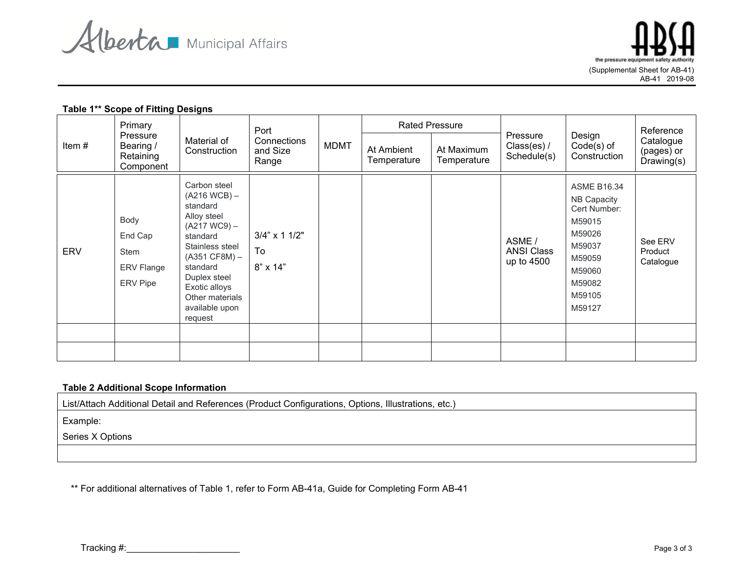

the pressure equip (Supplemental Sheet for AB-41) AB-41 2019-08

## **Table 1\*\* Scope of Fitting Designs**

| Item#      | Primary<br>Pressure<br>Bearing /<br>Retaining                         | Material of<br>Construction                                                                                                                                                                                                | Port<br>Connections<br>and Size<br>Range | <b>MDMT</b> | At Ambient<br>Temperature | <b>Rated Pressure</b><br>At Maximum<br>Temperature | Pressure<br>Class(es) /<br>Schedule(s)    | Design<br>$Code(s)$ of<br>Construction                                                                                            | Reference<br>Catalogue<br>(pages) or<br>Drawing(s) |
|------------|-----------------------------------------------------------------------|----------------------------------------------------------------------------------------------------------------------------------------------------------------------------------------------------------------------------|------------------------------------------|-------------|---------------------------|----------------------------------------------------|-------------------------------------------|-----------------------------------------------------------------------------------------------------------------------------------|----------------------------------------------------|
| <b>ERV</b> | Component<br>Body<br>End Cap<br>Stem<br><b>ERV Flange</b><br>ERV Pipe | Carbon steel<br>$(A216 WCB)$ –<br>standard<br>Alloy steel<br>$(A217 WC9) -$<br>standard<br>Stainless steel<br>$(A351 CF8M) -$<br>standard<br>Duplex steel<br>Exotic alloys<br>Other materials<br>available upon<br>request | $3/4$ " x 1 $1/2$ "<br>To<br>8" x 14"    |             |                           |                                                    | ASME /<br><b>ANSI Class</b><br>up to 4500 | <b>ASME B16.34</b><br>NB Capacity<br>Cert Number:<br>M59015<br>M59026<br>M59037<br>M59059<br>M59060<br>M59082<br>M59105<br>M59127 | See ERV<br>Product<br>Catalogue                    |
|            |                                                                       |                                                                                                                                                                                                                            |                                          |             |                           |                                                    |                                           |                                                                                                                                   |                                                    |

## **Table 2 Additional Scope Information**

List/Attach Additional Detail and References (Product Configurations, Options, Illustrations, etc.)

Example:

Series X Options

\*\* For additional alternatives of Table 1, refer to Form AB-41a, Guide for Completing Form AB-41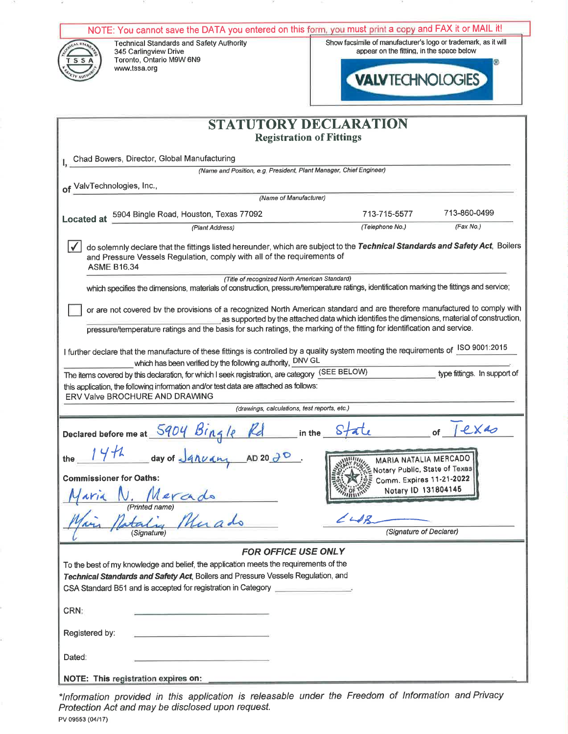| NOTE: You cannot save the DATA you entered on this form, you must print a copy and FAX it or MAIL it!                                                                                                                                                                                                                                                                                                                         |                                                                                                                                                                                                         |  |  |  |  |  |
|-------------------------------------------------------------------------------------------------------------------------------------------------------------------------------------------------------------------------------------------------------------------------------------------------------------------------------------------------------------------------------------------------------------------------------|---------------------------------------------------------------------------------------------------------------------------------------------------------------------------------------------------------|--|--|--|--|--|
| <b>Technical Standards and Safety Authority</b><br>345 Carlingview Drive<br>Toronto, Ontario M9W 6N9<br>-S<br>www.tssa.org                                                                                                                                                                                                                                                                                                    | Show facsimile of manufacturer's logo or trademark, as it will<br>appear on the fitting, in the space below<br><b>VALVTECHNOLOGIES</b>                                                                  |  |  |  |  |  |
|                                                                                                                                                                                                                                                                                                                                                                                                                               | <b>STATUTORY DECLARATION</b>                                                                                                                                                                            |  |  |  |  |  |
|                                                                                                                                                                                                                                                                                                                                                                                                                               | <b>Registration of Fittings</b>                                                                                                                                                                         |  |  |  |  |  |
|                                                                                                                                                                                                                                                                                                                                                                                                                               |                                                                                                                                                                                                         |  |  |  |  |  |
| Chad Bowers, Director, Global Manufacturing<br>(Name and Position, e.g. President, Plant Manager, Chief Engineer)                                                                                                                                                                                                                                                                                                             |                                                                                                                                                                                                         |  |  |  |  |  |
| of ValvTechnologies, Inc.,                                                                                                                                                                                                                                                                                                                                                                                                    |                                                                                                                                                                                                         |  |  |  |  |  |
| (Name of Manufacturer)                                                                                                                                                                                                                                                                                                                                                                                                        |                                                                                                                                                                                                         |  |  |  |  |  |
| 5904 Bingle Road, Houston, Texas 77092<br><b>Located at</b>                                                                                                                                                                                                                                                                                                                                                                   | 713-860-0499<br>713-715-5577                                                                                                                                                                            |  |  |  |  |  |
| (Plant Address)                                                                                                                                                                                                                                                                                                                                                                                                               | (Fax No.)<br>(Telephone No.)                                                                                                                                                                            |  |  |  |  |  |
| <b>ASME B16.34</b>                                                                                                                                                                                                                                                                                                                                                                                                            | do solemnly declare that the fittings listed hereunder, which are subject to the Technical Standards and Safety Act, Boilers<br>and Pressure Vessels Regulation, comply with all of the requirements of |  |  |  |  |  |
| (Title of recognized North American Standard)<br>which specifies the dimensions, materials of construction, pressure/temperature ratings, identification marking the fittings and service;                                                                                                                                                                                                                                    |                                                                                                                                                                                                         |  |  |  |  |  |
| or are not covered by the provisions of a recognized North American standard and are therefore manufactured to comply with<br>as supported by the attached data which identifies the dimensions, material of construction,<br>pressure/temperature ratings and the basis for such ratings, the marking of the fitting for identification and service.                                                                         |                                                                                                                                                                                                         |  |  |  |  |  |
| I further declare that the manufacture of these fittings is controlled by a quality system meeting the requirements of ISO 9001:2015<br>which has been verified by the following authority, DNV GL<br>The items covered by this declaration, for which I seek registration, are category (SEE BELOW)<br>type fittings. In support of<br>this application, the following information and/or test data are attached as follows: |                                                                                                                                                                                                         |  |  |  |  |  |
| ERV Valve BROCHURE AND DRAWING                                                                                                                                                                                                                                                                                                                                                                                                |                                                                                                                                                                                                         |  |  |  |  |  |
| (drawings, calculations, test reports, etc.)                                                                                                                                                                                                                                                                                                                                                                                  |                                                                                                                                                                                                         |  |  |  |  |  |
| Declared before me at 5904 Bin4le                                                                                                                                                                                                                                                                                                                                                                                             | 1ex                                                                                                                                                                                                     |  |  |  |  |  |
| day of January<br>AD 20 $\partial$ O<br>the                                                                                                                                                                                                                                                                                                                                                                                   | <b>MARIA NATALIA MERCADO</b><br>Notary Public, State of Texas                                                                                                                                           |  |  |  |  |  |
| <b>Commissioner for Oaths:</b><br>Comm. Expires 11-21-2022<br>Notary ID 131804146<br>Verado                                                                                                                                                                                                                                                                                                                                   |                                                                                                                                                                                                         |  |  |  |  |  |
| $\overline{M_{11,0}}$<br>(Printed name)<br>$2 - 12$                                                                                                                                                                                                                                                                                                                                                                           |                                                                                                                                                                                                         |  |  |  |  |  |
| (Signature)                                                                                                                                                                                                                                                                                                                                                                                                                   | (Signature of Declarer)                                                                                                                                                                                 |  |  |  |  |  |
| <b>FOR OFFICE USE ONLY</b>                                                                                                                                                                                                                                                                                                                                                                                                    |                                                                                                                                                                                                         |  |  |  |  |  |
| To the best of my knowledge and belief, the application meets the requirements of the<br>Technical Standards and Safety Act, Boilers and Pressure Vessels Regulation, and                                                                                                                                                                                                                                                     |                                                                                                                                                                                                         |  |  |  |  |  |
| CSA Standard B51 and is accepted for registration in Category                                                                                                                                                                                                                                                                                                                                                                 |                                                                                                                                                                                                         |  |  |  |  |  |
| CRN:                                                                                                                                                                                                                                                                                                                                                                                                                          |                                                                                                                                                                                                         |  |  |  |  |  |
| Registered by:                                                                                                                                                                                                                                                                                                                                                                                                                |                                                                                                                                                                                                         |  |  |  |  |  |
| Dated:                                                                                                                                                                                                                                                                                                                                                                                                                        |                                                                                                                                                                                                         |  |  |  |  |  |
| NOTE: This registration expires on:                                                                                                                                                                                                                                                                                                                                                                                           |                                                                                                                                                                                                         |  |  |  |  |  |

\*Information provided in this application is releasable under the Freedom of Information and Privacy<br>Protection Act and may be disclosed upon request. PV 09553 (04/17)